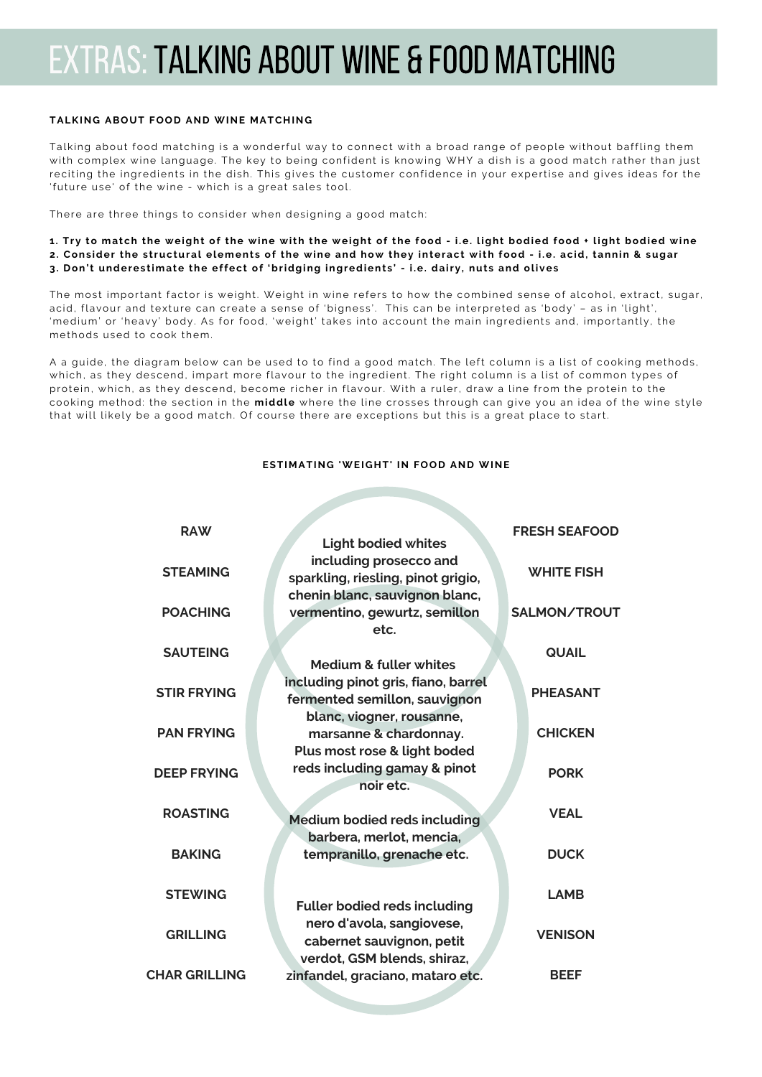# extras:TALKING ABOUT WINE & FOOD MATCHING

### **TALKING ABOUT FOOD AND WINE MATCHING**

Talking about food matching is a wonderful way to connect with a broad range of people without baffling them with complex wine language. The key to being confident is knowing WHY a dish is a good match rather than just reciting the ingredients in the dish. This gives the customer confidence in your expertise and gives ideas for the 'future use' of the wine - which is a great sales tool.

There are three things to consider when designing a good match:

- 1. Try to match the weight of the wine with the weight of the food i.e. light bodied food + light bodied wine 2. Consider the structural elements of the wine and how they interact with food - i.e. acid, tannin & sugar
- 3. Don't underestimate the effect of 'bridging ingredients' i.e. dairy, nuts and olives

The most important factor is weight. Weight in wine refers to how the combined sense of alcohol, extract, sugar, acid, flavour and texture can create a sense of 'bigness'. This can be interpreted as 'body' - as in 'light', 'medium' or 'heavy' body. As for food, 'weight' takes into account the main ingredients and, importantly, the methods used to cook them.

A a guide, the diagram below can be used to to find a good match. The left column is a list of cooking methods, which, as they descend, impart more flavour to the ingredient. The right column is a list of common types of protein, which, as they descend, become richer in flavour. With a ruler, draw a line from the protein to the cooking method: the section in the **middle** where the line crosses through can give you an idea of the wine style that will likely be a good match. Of course there are exceptions but this is a great place to start.

## **ESTIMATING 'WEIGHT' IN FOOD AND WINE**

| <b>RAW</b>           | <b>Light bodied whites</b>                                                                     | <b>FRESH SEAFOOD</b> |
|----------------------|------------------------------------------------------------------------------------------------|----------------------|
| <b>STEAMING</b>      | including prosecco and<br>sparkling, riesling, pinot grigio,<br>chenin blanc, sauvignon blanc, | <b>WHITE FISH</b>    |
| <b>POACHING</b>      | vermentino, gewurtz, semillon<br>etc.                                                          | SALMON/TROUT         |
| <b>SAUTEING</b>      | Medium & fuller whites                                                                         | <b>QUAIL</b>         |
| <b>STIR FRYING</b>   | including pinot gris, fiano, barrel<br>fermented semillon, sauvignon                           | <b>PHEASANT</b>      |
| <b>PAN FRYING</b>    | blanc, viogner, rousanne,<br>marsanne & chardonnay.<br>Plus most rose & light boded            | <b>CHICKEN</b>       |
| <b>DEEP FRYING</b>   | reds including gamay & pinot<br>noir etc.                                                      | <b>PORK</b>          |
| <b>ROASTING</b>      | <b>Medium bodied reds including</b>                                                            | <b>VEAL</b>          |
| <b>BAKING</b>        | barbera, merlot, mencia,<br>tempranillo, grenache etc.                                         | <b>DUCK</b>          |
| <b>STEWING</b>       | <b>Fuller bodied reds including</b><br>nero d'avola, sangiovese,<br>cabernet sauvignon, petit  | <b>LAMB</b>          |
| <b>GRILLING</b>      |                                                                                                | <b>VENISON</b>       |
| <b>CHAR GRILLING</b> | verdot, GSM blends, shiraz,<br>zinfandel, graciano, mataro etc.                                | <b>BEEF</b>          |
|                      |                                                                                                |                      |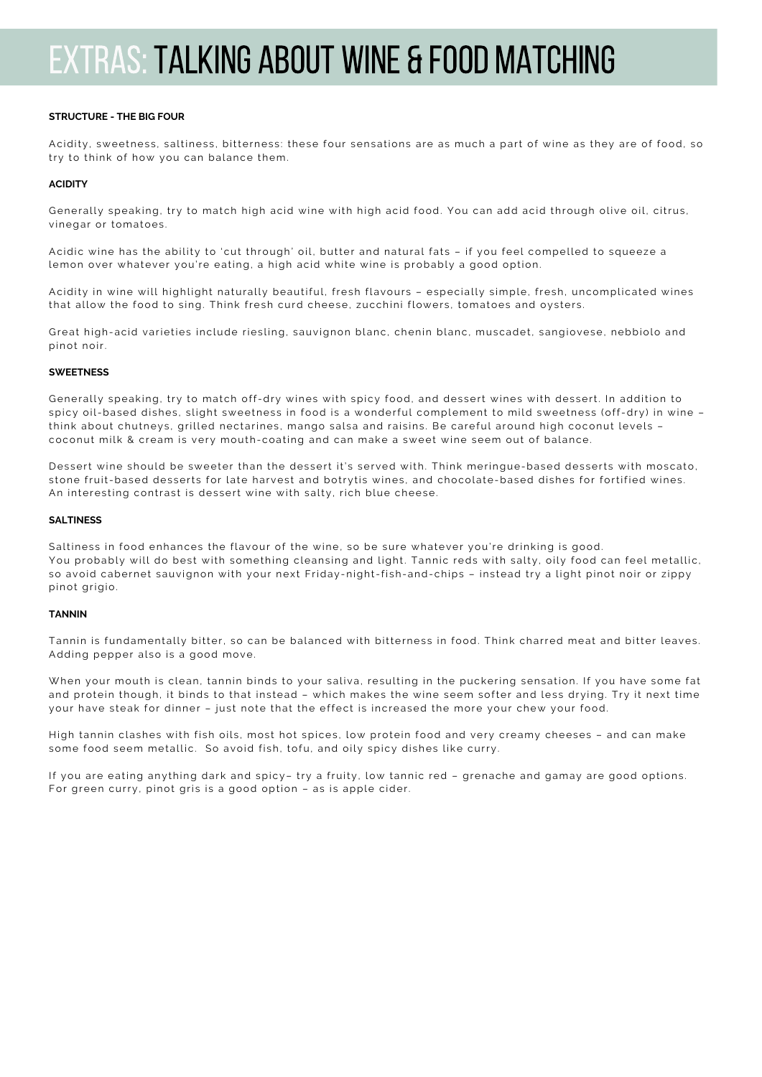## extras:TALKING ABOUT WINE & FOOD MATCHING

#### **STRUCTURE - THE BIG FOUR**

Acidity, sweetness, saltiness, bitterness: these four sensations are as much a part of wine as they are of food, so try to think of how you can balance them.

### **ACIDITY**

Generally speaking, try to match high acid wine with high acid food. You can add acid through olive oil, citrus , vinegar or tomatoes .

Acidic wine has the ability to 'cut through' oil, butter and natural fats - if you feel compelled to squeeze a lemon over whatever you're eating, a high acid white wine is probably a good option.

Acidity in wine will highlight naturally beautiful, fresh flavours - especially simple, fresh, uncomplicated wines that allow the food to sing. Think fresh curd cheese, zucchini flowers, tomatoes and oysters.

Great high-acid varieties include riesling, sauvignon blanc, chenin blanc, muscadet, sangiovese, nebbiolo and pinot noir.

#### **SWEETNESS**

Generally speaking, try to match off-dry wines with spicy food, and dessert wines with dessert. In addition to spicy oil-based dishes, slight sweetness in food is a wonderful complement to mild sweetness (off-dry) in wine think about chutneys, grilled nectarines, mango salsa and raisins. Be careful around high coconut levels coconut milk & cream is very mouth-coating and can make a sweet wine seem out of balance.

Dessert wine should be sweeter than the dessert it's served with. Think meringue-based desserts with moscato, stone fruit-based desserts for late harvest and botrytis wines, and chocolate-based dishes for fortified wines. An interesting contrast is dessert wine with salty, rich blue cheese.

#### **SALTINESS**

Saltiness in food enhances the flavour of the wine, so be sure whatever you're drinking is good. You probably will do best with something cleansing and light. Tannic reds with salty, oily food can feel metallic, so avoid cabernet sauvignon with your next Friday-night-fish-and-chips - instead try a light pinot noir or zippy pinot grigio.

### **TANNIN**

Tannin is fundamentally bitter, so can be balanced with bitterness in food. Think charred meat and bitter leaves. Adding pepper also is a good move.

When your mouth is clean, tannin binds to your saliva, resulting in the puckering sensation. If you have some fat and protein though, it binds to that instead - which makes the wine seem softer and less drying. Try it next time your have steak for dinner - just note that the effect is increased the more your chew your food.

High tannin clashes with fish oils, most hot spices, low protein food and very creamy cheeses - and can make some food seem metallic. So avoid fish, tofu, and oily spicy dishes like curry.

If you are eating anything dark and spicy– try a fruity, low tannic red – grenache and gamay are good options . For green curry, pinot gris is a good option - as is apple cider.